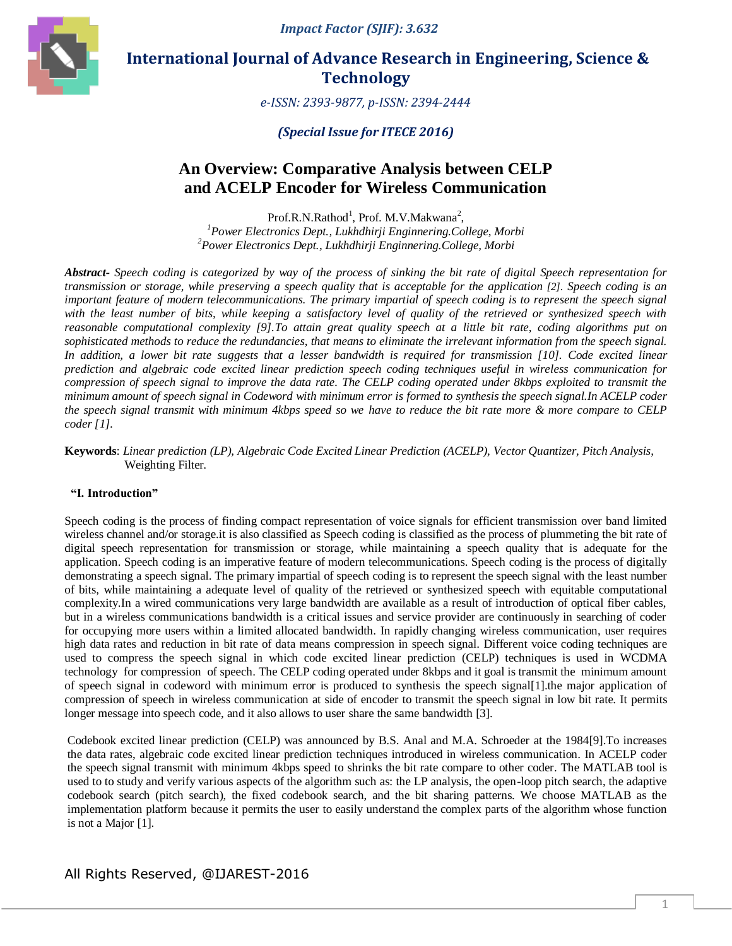*Impact Factor (SJIF): 3.632*



# **International Journal of Advance Research in Engineering, Science & Technology**

*e-ISSN: 2393-9877, p-ISSN: 2394-2444*

## *(Special Issue for ITECE 2016)*

# **An Overview: Comparative Analysis between CELP and ACELP Encoder for Wireless Communication**

Prof.R.N.Rathod<sup>1</sup>, Prof. M.V.Makwana<sup>2</sup>, *<sup>1</sup>Power Electronics Dept., Lukhdhirji Enginnering.College, Morbi <sup>2</sup>Power Electronics Dept., Lukhdhirji Enginnering.College, Morbi*

*Abstract- Speech coding is categorized by way of the process of sinking the bit rate of digital Speech representation for transmission or storage, while preserving a speech quality that is acceptable for the application [2]. Speech coding is an important feature of modern telecommunications. The primary impartial of speech coding is to represent the speech signal with the least number of bits, while keeping a satisfactory level of quality of the retrieved or synthesized speech with reasonable computational complexity [9].To attain great quality speech at a little bit rate, coding algorithms put on sophisticated methods to reduce the redundancies, that means to eliminate the irrelevant information from the speech signal. In addition, a lower bit rate suggests that a lesser bandwidth is required for transmission [10]. Code excited linear prediction and algebraic code excited linear prediction speech coding techniques useful in wireless communication for compression of speech signal to improve the data rate. The CELP coding operated under 8kbps exploited to transmit the minimum amount of speech signal in Codeword with minimum error is formed to synthesis the speech signal.In ACELP coder the speech signal transmit with minimum 4kbps speed so we have to reduce the bit rate more & more compare to CELP coder [1].*

**Keywords**: *Linear prediction (LP), Algebraic Code Excited Linear Prediction (ACELP), Vector Quantizer, Pitch Analysis,* Weighting Filter*.*

### **"I. Introduction"**

Speech coding is the process of finding compact representation of voice signals for efficient transmission over band limited wireless channel and/or storage.it is also classified as Speech coding is classified as the process of plummeting the bit rate of digital speech representation for transmission or storage, while maintaining a speech quality that is adequate for the application. Speech coding is an imperative feature of modern telecommunications. Speech coding is the process of digitally demonstrating a speech signal. The primary impartial of speech coding is to represent the speech signal with the least number of bits, while maintaining a adequate level of quality of the retrieved or synthesized speech with equitable computational complexity.In a wired communications very large bandwidth are available as a result of introduction of optical fiber cables, but in a wireless communications bandwidth is a critical issues and service provider are continuously in searching of coder for occupying more users within a limited allocated bandwidth. In rapidly changing wireless communication, user requires high data rates and reduction in bit rate of data means compression in speech signal. Different voice coding techniques are used to compress the speech signal in which code excited linear prediction (CELP) techniques is used in WCDMA technology for compression of speech. The CELP coding operated under 8kbps and it goal is transmit the minimum amount of speech signal in codeword with minimum error is produced to synthesis the speech signal[1].the major application of compression of speech in wireless communication at side of encoder to transmit the speech signal in low bit rate. It permits longer message into speech code, and it also allows to user share the same bandwidth [3].

Codebook excited linear prediction (CELP) was announced by B.S. Anal and M.A. Schroeder at the 1984[9].To increases the data rates, algebraic code excited linear prediction techniques introduced in wireless communication. In ACELP coder the speech signal transmit with minimum 4kbps speed to shrinks the bit rate compare to other coder. The MATLAB tool is used to to study and verify various aspects of the algorithm such as: the LP analysis, the open-loop pitch search, the adaptive codebook search (pitch search), the fixed codebook search, and the bit sharing patterns. We choose MATLAB as the implementation platform because it permits the user to easily understand the complex parts of the algorithm whose function is not a Major [1].

## All Rights Reserved, @IJAREST-2016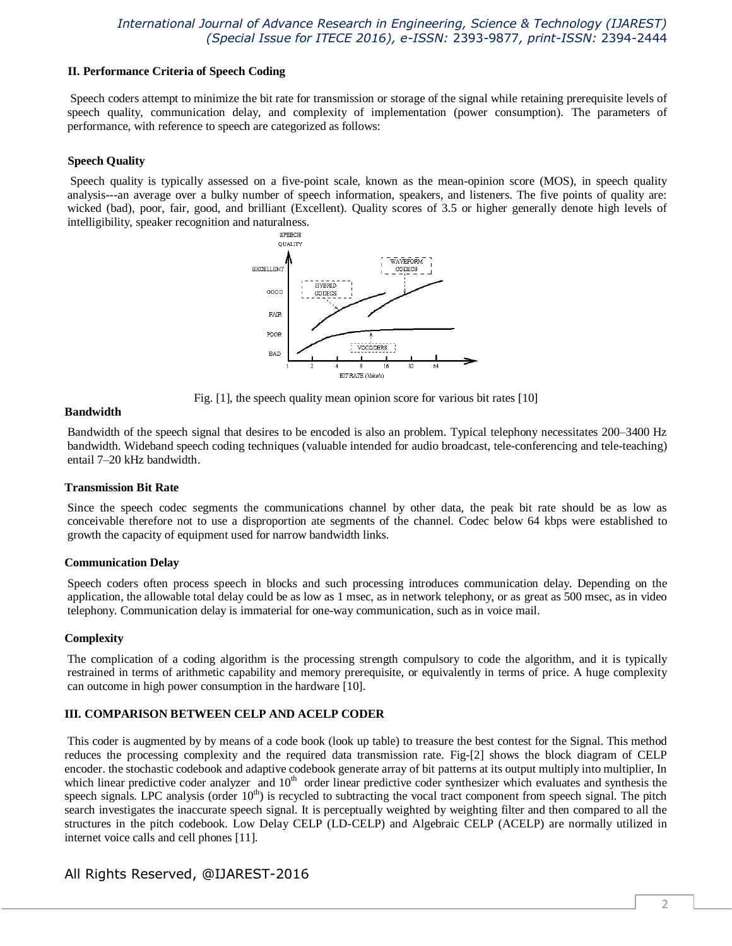#### **II. Performance Criteria of Speech Coding**

Speech coders attempt to minimize the bit rate for transmission or storage of the signal while retaining prerequisite levels of speech quality, communication delay, and complexity of implementation (power consumption). The parameters of performance, with reference to speech are categorized as follows:

### **Speech Quality**

Speech quality is typically assessed on a five-point scale, known as the mean-opinion score (MOS), in speech quality analysis---an average over a bulky number of speech information, speakers, and listeners. The five points of quality are: wicked (bad), poor, fair, good, and brilliant (Excellent). Quality scores of 3.5 or higher generally denote high levels of intelligibility, speaker recognition and naturalness.



Fig. [1], the speech quality mean opinion score for various bit rates [10]

#### **Bandwidth**

Bandwidth of the speech signal that desires to be encoded is also an problem. Typical telephony necessitates 200–3400 Hz bandwidth. Wideband speech coding techniques (valuable intended for audio broadcast, tele-conferencing and tele-teaching) entail 7–20 kHz bandwidth.

#### **Transmission Bit Rate**

Since the speech codec segments the communications channel by other data, the peak bit rate should be as low as conceivable therefore not to use a disproportion ate segments of the channel. Codec below 64 kbps were established to growth the capacity of equipment used for narrow bandwidth links.

#### **Communication Delay**

Speech coders often process speech in blocks and such processing introduces communication delay. Depending on the application, the allowable total delay could be as low as 1 msec, as in network telephony, or as great as 500 msec, as in video telephony. Communication delay is immaterial for one-way communication, such as in voice mail.

#### **Complexity**

The complication of a coding algorithm is the processing strength compulsory to code the algorithm, and it is typically restrained in terms of arithmetic capability and memory prerequisite, or equivalently in terms of price. A huge complexity can outcome in high power consumption in the hardware [10].

#### **III. COMPARISON BETWEEN CELP AND ACELP CODER**

This coder is augmented by by means of a code book (look up table) to treasure the best contest for the Signal. This method reduces the processing complexity and the required data transmission rate. Fig-[2] shows the block diagram of CELP encoder. the stochastic codebook and adaptive codebook generate array of bit patterns at its output multiply into multiplier, In which linear predictive coder analyzer and  $10<sup>th</sup>$  order linear predictive coder synthesizer which evaluates and synthesis the speech signals. LPC analysis (order  $10<sup>th</sup>$ ) is recycled to subtracting the vocal tract component from speech signal. The pitch search investigates the inaccurate speech signal. It is perceptually weighted by weighting filter and then compared to all the structures in the pitch codebook. Low Delay CELP (LD-CELP) and Algebraic CELP (ACELP) are normally utilized in internet voice calls and cell phones [11].

## All Rights Reserved, @IJAREST-2016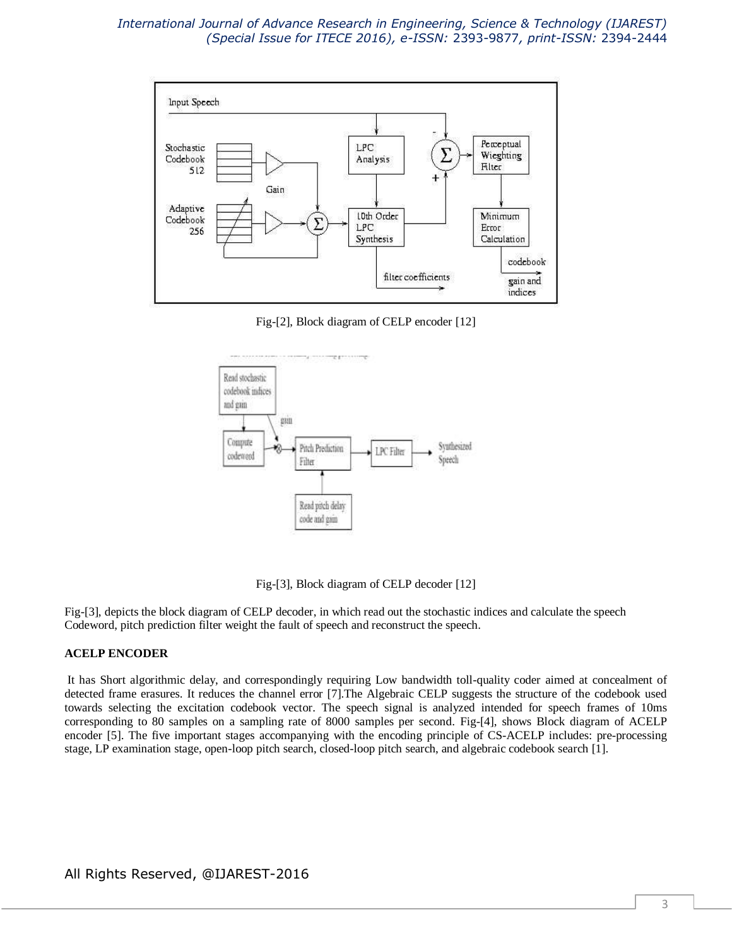

Fig-[2], Block diagram of CELP encoder [12]



Fig-[3], Block diagram of CELP decoder [12]

Fig-[3], depicts the block diagram of CELP decoder, in which read out the stochastic indices and calculate the speech Codeword, pitch prediction filter weight the fault of speech and reconstruct the speech.

### **ACELP ENCODER**

It has Short algorithmic delay, and correspondingly requiring Low bandwidth toll-quality coder aimed at concealment of detected frame erasures. It reduces the channel error [7].The Algebraic CELP suggests the structure of the codebook used towards selecting the excitation codebook vector. The speech signal is analyzed intended for speech frames of 10ms corresponding to 80 samples on a sampling rate of 8000 samples per second. Fig-[4], shows Block diagram of ACELP encoder [5]. The five important stages accompanying with the encoding principle of CS-ACELP includes: pre-processing stage, LP examination stage, open-loop pitch search, closed-loop pitch search, and algebraic codebook search [1].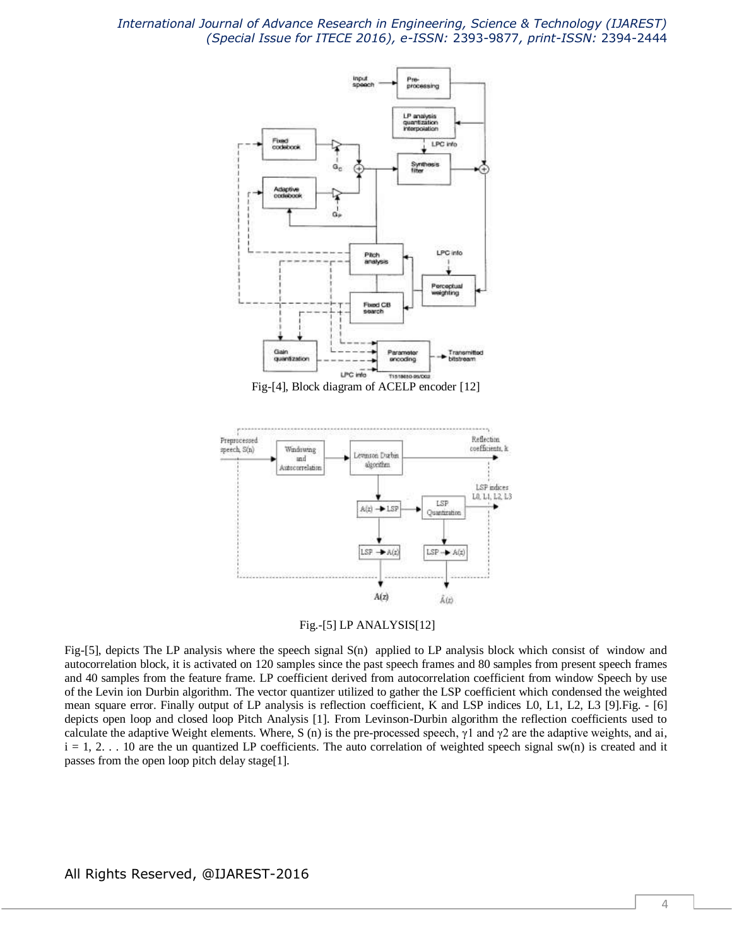

Fig-[4], Block diagram of ACELP encoder [12]



Fig.-[5] LP ANALYSIS[12]

Fig-[5], depicts The LP analysis where the speech signal S(n) applied to LP analysis block which consist of window and autocorrelation block, it is activated on 120 samples since the past speech frames and 80 samples from present speech frames and 40 samples from the feature frame. LP coefficient derived from autocorrelation coefficient from window Speech by use of the Levin ion Durbin algorithm. The vector quantizer utilized to gather the LSP coefficient which condensed the weighted mean square error. Finally output of LP analysis is reflection coefficient, K and LSP indices L0, L1, L2, L3 [9].Fig. - [6] depicts open loop and closed loop Pitch Analysis [1]. From Levinson-Durbin algorithm the reflection coefficients used to calculate the adaptive Weight elements. Where, S (n) is the pre-processed speech,  $\gamma$ 1 and  $\gamma$ 2 are the adaptive weights, and ai,  $i = 1, 2, \ldots$  10 are the un quantized LP coefficients. The auto correlation of weighted speech signal sw(n) is created and it passes from the open loop pitch delay stage[1].